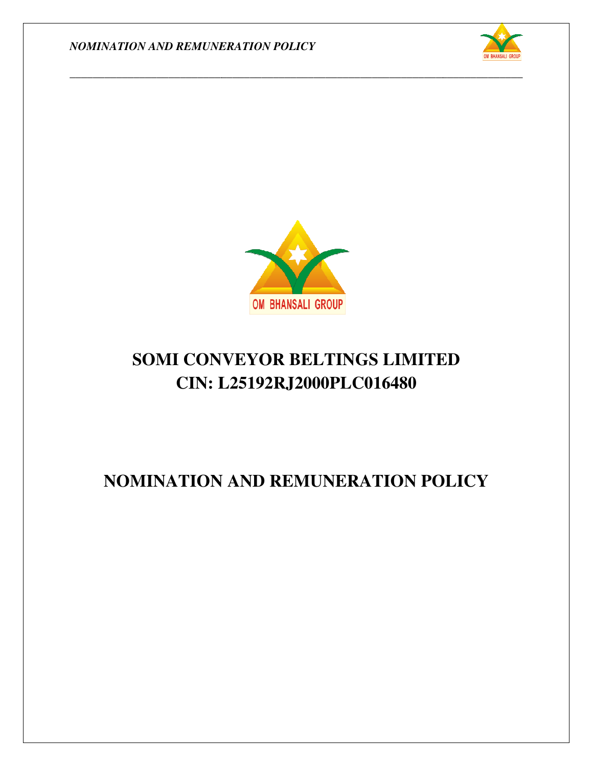



*\_\_\_\_\_\_\_\_\_\_\_\_\_\_\_\_\_\_\_\_\_\_\_\_\_\_\_\_\_\_\_\_\_\_\_\_\_\_\_\_\_\_\_\_\_\_\_\_\_\_\_\_\_\_\_\_\_\_\_\_\_\_\_\_\_\_\_\_\_\_\_\_\_\_\_\_\_\_*

# **SOMI CONVEYOR BELTINGS LIMITED CIN: L25192RJ2000PLC016480**

## **NOMINATION AND REMUNERATION POLICY**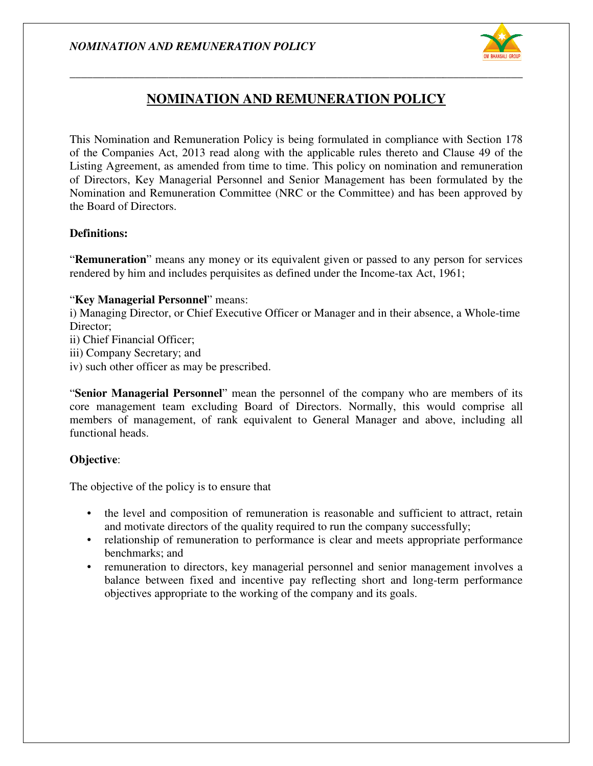

### **NOMINATION AND REMUNERATION POLICY NOMINATION AND REMUNERATION**

*\_\_\_\_\_\_\_\_\_\_\_\_\_\_\_\_\_\_\_\_\_\_\_\_\_\_\_\_\_\_\_\_\_\_\_\_\_\_\_\_\_\_\_\_\_\_\_\_\_\_\_\_\_\_\_\_\_\_\_\_\_\_\_\_\_\_\_\_\_\_\_\_\_\_\_\_\_\_*

This Nomination and Remuneration Policy is being formulated in compliance with Section 178 This Nomination and Remuneration Policy is being formulated in compliance with Section 178 of the Companies Act, 2013 read along with the applicable rules thereto and Clause 49 of the Listing Agreement, as amended from time to time. This policy on nomination and remuneration of Directors, Key Managerial Personnel and Senior Management has been formulated by the Nomination and Remuneration Committee (NRC or the Committee) and has been approved by the Board of Directors. as amended from time to time. This policy on nomination and remunerat<br>
Managerial Personnel and Senior Management has been formulated by<br>
muneration Committee (NRC or the Committee) and has been approved<br>
rs.<br>
eans any mon

#### **Definitions:**

"**Remuneration**" means any money or its equivalent given or passed to any person for services rendered by him and includes perquisites as defined under the Income-tax Act, 1961;

#### "**Key Managerial Personnel**" means:

rendered by him and includes perquisites as defined under the Income-tax Act, 1961;<br>
"Key Managerial Personnel" means:<br>
i) Managing Director, or Chief Executive Officer or Manager and in their absence, a Whole-time Director: i) Managing Director, or Chief Executive Officer or Manager and in their absence, a Whole-time<br>
Director;<br>
ii) Chief Financial Officer;<br>
iii) Company Secretary; and<br>
iv) such other officer as may be prescribed.<br>
"Senior Ma

ii) Chief Financial Officer;

iii) Company Secretary; and

iv) such other officer as may be prescribed.

core management team excluding Board of Directors. Normally, this would comprise all members of management, of rank equivalent to General Manager and above, including all functional heads. management team excluding Board of Directors. Normally, this would comprise all<br>ers of management, of rank equivalent to General Manager and above, including all<br>onal heads.<br>tive:<br>tive:<br>bjective of the policy is to ensure personnel of the company who are members of its<br>of Directors. Normally, this would comprise all<br>ent to General Manager and above, including all

#### **Objective**:

The objective of the policy is to ensure that

- the level and composition of remuneration is reasonable and sufficient to attract, retain and motivate directors of the quality required to run the company successfully;
- relationship of remuneration to performance is clear and meets appropriate performance benchmarks; and
- remuneration to directors, key managerial personnel and senior management involves a balance between fixed and incentive pay reflecting short and long-term performance objectives appropriate to the working of the company and its goals.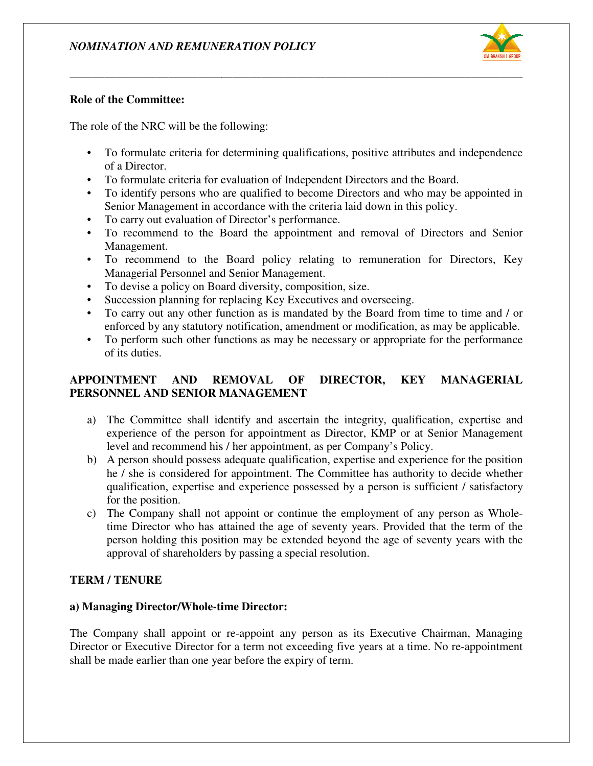

#### **Role of the Committee:**

The role of the NRC will be the following:

• To formulate criteria for determining qualifications, positive attributes and independence of a Director. • To formulate criteria for determining qualifications, positive attributes and independence of a Director.<br>• To formulate criteria for evaluation of Independent Directors and the Board.<br>• To identify persons who are quali

*\_\_\_\_\_\_\_\_\_\_\_\_\_\_\_\_\_\_\_\_\_\_\_\_\_\_\_\_\_\_\_\_\_\_\_\_\_\_\_\_\_\_\_\_\_\_\_\_\_\_\_\_\_\_\_\_\_\_\_\_\_\_\_\_\_\_\_\_\_\_\_\_\_\_\_\_\_\_*

- To formulate criteria for evaluation of Independent Directors and the Board.
- Senior Management in accordance with the criteria laid down in this policy.
- Senior Management in accordance with the criteria<br>• To carry out evaluation of Director's performance.
- To recommend to the Board the appointment and removal of Directors and Senior Management.
- To recommend to the Board policy relating to remuneration for Directors, Key Managerial Personnel and Senior Managemen recommend to the Board the appointment and removal of Direc<br>agement.<br>recommend to the Board policy relating to remuneration for<br>aagerial Personnel and Senior Management.
- To devise a policy on Board diversity, composition, size.
- Succession planning for replacing Key Executives and overseeing.
- To carry out any other function as is mandated by the Board from time to time and / or Succession planning for replacing Key Executives and overseeing.<br>To carry out any other function as is mandated by the Board from time to time and / or<br>enforced by any statutory notification, amendment or modification, as
- To perform such other functions as may be necessary or appropriate for the performance of its duties.

#### **APPOINTMENT AND REMOVAL OF DIRECTOR, KEY MANAGERIAL OF MANAGERIALPERSONNEL AND SENIOR MANAGEMENT**

- a) The Committee shall identify and ascertain the integrity, qualification, expertise and experience of the person for appointment as Director, KMP or at Senior Management level and recommend his / her appointment, as per Company's Policy. level and recommend his / her appointment, as per Company's Policy.
- b) A person should possess adequate qualification, expertise and experience for the position he / she is considered for appointment. The Committee has authority to decide whether qualification, expertise and experience possessed by a person is sufficient / satisfactory for the position. isons who are qualified to become Directors and who may be appointed in<br>sement in accordance with the criteria laid down in this policy.<br>Valuation of Director's performance.<br>In the Board the appointment and removal of Dire
- c) The Company shall not appoint or continue the employment of any person as Whole time Director who has attained the age of seventy years. Provided that the term of the person holding this position may be extended beyond the age of seventy years with the approval of shareholders by passing a special resolution. be interest of appointment. The Committee has authority to decide whet expertise and experience possessed by a person is sufficient / satisfact on.<br>y shall not appoint or continue the employment of any person as Who r who

#### **TERM / TENURE**

#### **a) Managing Director/Whole-time Director: time Director:**

The Company shall appoint or re-appoint any person as its Executive Chairman, Managing The Company shall appoint or re-appoint any person as its Executive Chairman, Managing Director or Executive Director for a term not exceeding five years at a time. No re-appointment shall be made earlier than one year before the expiry of term.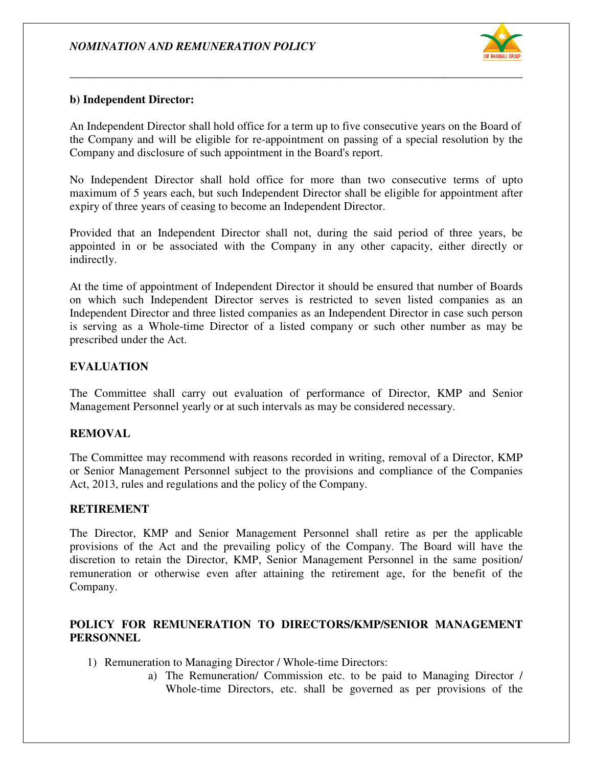

#### **b) Independent Director:**

An Independent Director shall hold office for a term up to five consecutive years on the Board of the Company and will be eligible for re-appointment on passing of a special resolution by the Company and disclosure of such appointment in the Board's report.

*\_\_\_\_\_\_\_\_\_\_\_\_\_\_\_\_\_\_\_\_\_\_\_\_\_\_\_\_\_\_\_\_\_\_\_\_\_\_\_\_\_\_\_\_\_\_\_\_\_\_\_\_\_\_\_\_\_\_\_\_\_\_\_\_\_\_\_\_\_\_\_\_\_\_\_\_\_\_*

No Independent Director shall hold office for more than two consecutive terms of upto No Independent Director shall hold office for more than two consecutive terms of upto maximum of 5 years each, but such Independent Director shall be eligible for appointment after expiry of three years of ceasing to become an Independent Director.

Provided that an Independent Director shall not, during the said period of three years, be expiry of three years of ceasing to become an Independent Director.<br>Provided that an Independent Director shall not, during the said period of three years, be appointed in or be associated with the Company in any other cap indirectly.

At the time of appointment of Independent Director it should be ensured that number of Boards on which such Independent Director serves is restricted to seven listed companies as an Independent Director and three listed companies as an Independent Director in case such person is serving as a Whole-time Director of a listed company or such other number as may be prescribed under the Act. appointment of Independent Director it should be ensured that number of Boards<br>
independent Director serves is restricted to seven listed companies as an<br>
irector and three listed companies as an Independent Director in ca

#### **EVALUATION**

The Committee shall carry out evaluation of performance of Director, KMP and Senior Management Personnel yearly or at such intervals as may be considered necessary.

#### **REMOVAL**

The Committee may recommend with reasons recorded in writing, removal of a Director, KMP The Committee may recommend with reasons recorded in writing, removal of a Director, KMP or Senior Management Personnel subject to the provisions and compliance of the Companies Act, 2013, rules and regulations and the policy of the Company.

#### **RETIREMENT**

The Director, KMP and Senior Management Personnel shall retire as per the applicable The Director, KMP and Senior Management Personnel shall retire as per the applicable provisions of the Act and the prevailing policy of the Company. The Board will have the discretion to retain the Director, KMP, Senior Management Personnel in the same position/ remuneration or otherwise even after attaining the retirement age, for the benefit of the Company. be eligible for re-appointment on passing of a special resolution by the of such appointment in the Boards report.<br>
Th, but such Indicpendent Director shall be cligible for appointment after<br>
cents a special both of fiecto

#### POLICY FOR REMUNERATION TO DIRECTORS/KMP/SENIOR MANAGEMENT **PERSONNEL**

- 1) Remuneration to Managing Director / Whole-time Directors:
	- a) The Remuneration/ Commission etc. to be paid to Managing Director / The Remuneration/ Commission etc. to be paid to Managing Direct<br>Whole-time Directors, etc. shall be governed as per provisions of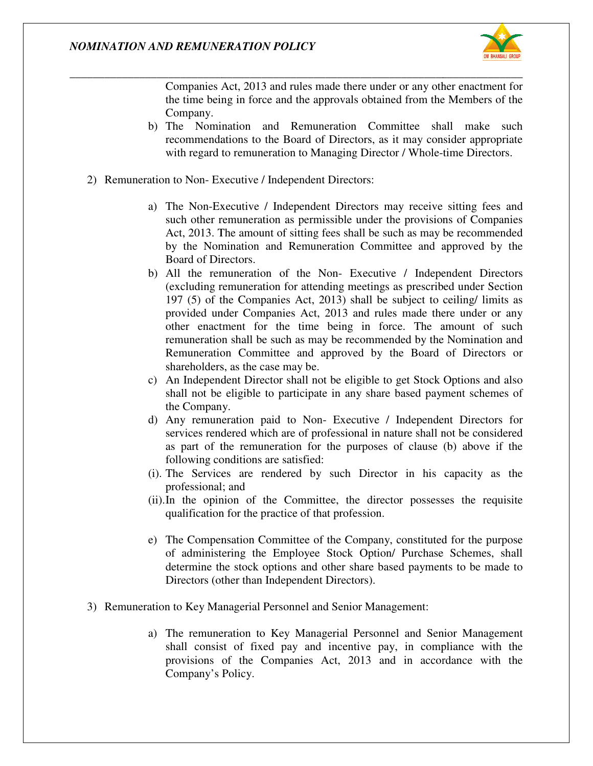

Companies Act, 2013 and rules made there under or any other enactment for the time being in force and the approvals obtained from the Members of the Company. es Act, 2013 and rules made there under or any other enactment for<br>being in force and the approvals obtained from the Members of the<br>y.<br>mination and Remuneration Committee shall make such<br>endations to the Board of Director

b) The Nomination and Remuneration Committee shall make such recommendations to the Board of Directors, as it may consider appropriate with regard to remuneration to Managing Director / Whole-

*\_\_\_\_\_\_\_\_\_\_\_\_\_\_\_\_\_\_\_\_\_\_\_\_\_\_\_\_\_\_\_\_\_\_\_\_\_\_\_\_\_\_\_\_\_\_\_\_\_\_\_\_\_\_\_\_\_\_\_\_\_\_\_\_\_\_\_\_\_\_\_\_\_\_\_\_\_\_*

- 2) Remuneration to Non- Executive / Independent Directors: Independent Directors:
	- a) The Non-Executive / Independent Directors may receive sitting fees and The Non-Executive / Independent Directors may receive sitting fees and such other remuneration as permissible under the provisions of Companies Act, 2013. The amount of sitting fees shall be such as may be recommended by the Nomination and Remuneration Committee and approved by the Board of Directors. of sitting fees shall be such as may be recommended<br>1 Remuneration Committee and approved by the<br>of the Non- Executive / Independent Directors
- b) All the remuneration of the Non-Executive / Independent Directors (excluding remuneration for attending meetings as prescribed under Section 197 (5) of the Companies Act, 2013) shall be subject to ceiling/ limits as provided under Companies Act, 2013 and rules made there under or any other enactment for the time being in force. The amount of such remuneration shall be such as may be recommended by the Nomination and Remuneration Committee and approved by the Board of Directors or shareholders, as the case may be. (excluding remuneration for attending meetings as prescribed under Section 197 (5) of the Companies Act, 2013 and rules made there under or any other enactment for the time being in force. The amount of such remuneration s Its to the Board of Directors, as it may consider appropriate<br>
emuneration to Managing Director / Whole-time Directors.<br>
trive / Independent Directors:<br>
trive / Independent Directors:<br>
trive / Independent Directors:<br>
trive remuneration as permissible under the provisions of Companies<br>The amount of sitting fees stall be such as may be recommended<br>commination and Remuneration Committee and approved by the<br>directors.<br>
remuneration of the Non-Ex
	- c) An Independent Director shall not be eligible to get Stock Options and also shall not be eligible to participate in any share based payment schemes of the Company. shall not be eligible to participate in any share based payment schemes of<br>the Company.<br>d) Any remuneration paid to Non-Executive / Independent Directors for
	- services rendered which are of professional in nature shall not be considered as part of the remuneration for the purposes of clause (b) above if the following conditions are satisfied:
	- (i). The Services are rendered by such Director in his capacity as the professional; and as part of the remuneration for the purposes of clause (b) above if the following conditions are satisfied:<br>The Services are rendered by such Director in his capacity as the professional; and<br>In the opinion of the Committe
	- (ii).In the opinion of the Committee, the director possesses the requisite qualification for the practice of that profession.
	- e) The Compensation Committee of the Company, constituted for the purpose of administering the Employee Stock Option/ Purchase Schemes, shall determine the stock options and other share based payments to be made to Directors (other than Independent Directors). Compensation Committee of the Company, constituted for the purpose dministering the Employee Stock Option/ Purchase Schemes, shall mine the stock options and other share based payments to be made to
- 3) Remuneration to Key Managerial Personnel and Senior Management:
	- a) The remuneration to Key Managerial Personnel and Senior Management shall consist of fixed pay and incentive pay, in compliance with the provisions of the Companies Act, 2013 and in accordance with the Company's Policy. gerial Personnel and Senior Management:<br>tion to Key Managerial Personnel and Senior Management<br>of fixed pay and incentive pay, in compliance with the